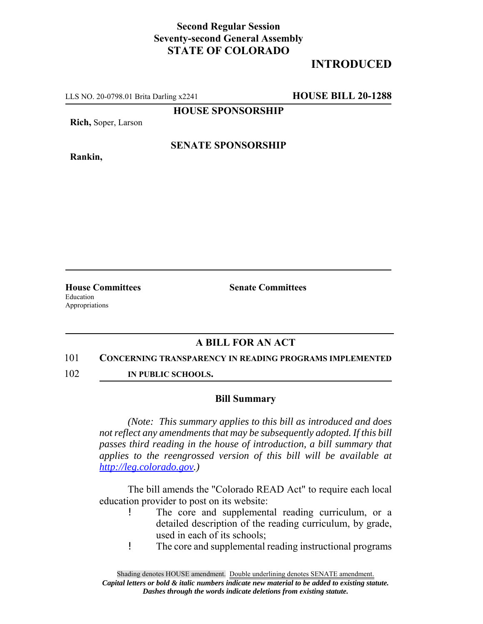## **Second Regular Session Seventy-second General Assembly STATE OF COLORADO**

# **INTRODUCED**

LLS NO. 20-0798.01 Brita Darling x2241 **HOUSE BILL 20-1288**

**HOUSE SPONSORSHIP**

**Rich,** Soper, Larson

**Rankin,**

### **SENATE SPONSORSHIP**

**House Committees Senate Committees** Education Appropriations

## **A BILL FOR AN ACT**

#### 101 **CONCERNING TRANSPARENCY IN READING PROGRAMS IMPLEMENTED**

102 **IN PUBLIC SCHOOLS.**

#### **Bill Summary**

*(Note: This summary applies to this bill as introduced and does not reflect any amendments that may be subsequently adopted. If this bill passes third reading in the house of introduction, a bill summary that applies to the reengrossed version of this bill will be available at http://leg.colorado.gov.)*

The bill amends the "Colorado READ Act" to require each local education provider to post on its website:

- ! The core and supplemental reading curriculum, or a detailed description of the reading curriculum, by grade, used in each of its schools;
- ! The core and supplemental reading instructional programs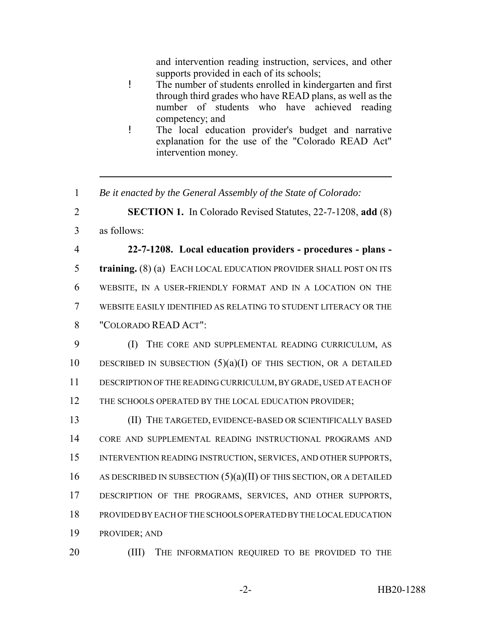and intervention reading instruction, services, and other supports provided in each of its schools;

- ! The number of students enrolled in kindergarten and first through third grades who have READ plans, as well as the number of students who have achieved reading competency; and
- ! The local education provider's budget and narrative explanation for the use of the "Colorado READ Act" intervention money.
- 1 *Be it enacted by the General Assembly of the State of Colorado:*

2 **SECTION 1.** In Colorado Revised Statutes, 22-7-1208, **add** (8)

3 as follows:

 **22-7-1208. Local education providers - procedures - plans - training.** (8) (a) EACH LOCAL EDUCATION PROVIDER SHALL POST ON ITS WEBSITE, IN A USER-FRIENDLY FORMAT AND IN A LOCATION ON THE WEBSITE EASILY IDENTIFIED AS RELATING TO STUDENT LITERACY OR THE "COLORADO READ ACT":

9 (I) THE CORE AND SUPPLEMENTAL READING CURRICULUM, AS 10 DESCRIBED IN SUBSECTION  $(5)(a)(I)$  OF THIS SECTION, OR A DETAILED 11 DESCRIPTION OF THE READING CURRICULUM, BY GRADE, USED AT EACH OF 12 THE SCHOOLS OPERATED BY THE LOCAL EDUCATION PROVIDER;

 (II) THE TARGETED, EVIDENCE-BASED OR SCIENTIFICALLY BASED CORE AND SUPPLEMENTAL READING INSTRUCTIONAL PROGRAMS AND INTERVENTION READING INSTRUCTION, SERVICES, AND OTHER SUPPORTS, 16 AS DESCRIBED IN SUBSECTION  $(5)(a)(II)$  OF THIS SECTION, OR A DETAILED 17 DESCRIPTION OF THE PROGRAMS, SERVICES, AND OTHER SUPPORTS, PROVIDED BY EACH OF THE SCHOOLS OPERATED BY THE LOCAL EDUCATION PROVIDER; AND

20 (III) THE INFORMATION REQUIRED TO BE PROVIDED TO THE